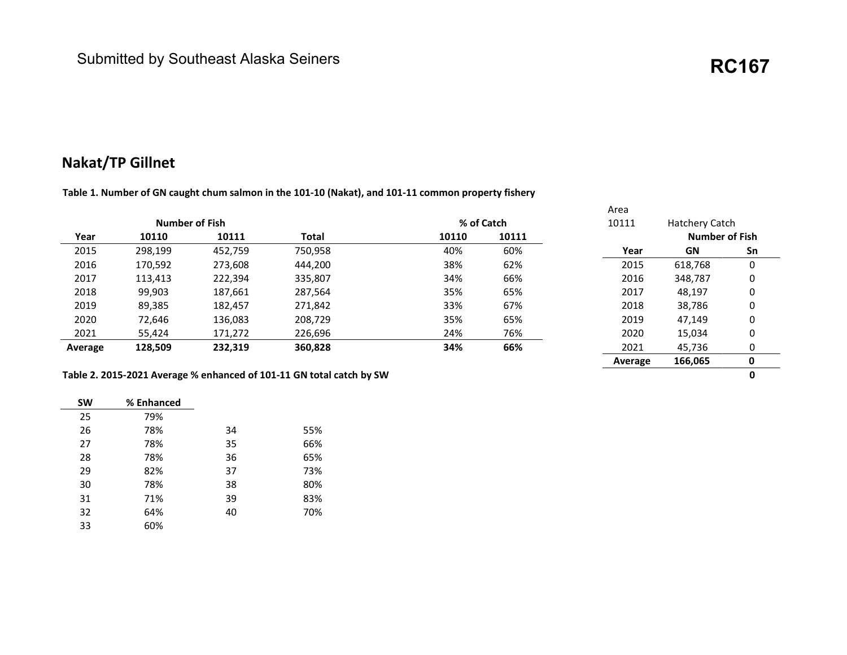### Nakat/TP Gillnet

Table 1. Number of GN caught chum salmon in the 101-10 (Nakat), and 101-11 common property fishery

|                       |         |         |         |       |            | Area    |                       |    |
|-----------------------|---------|---------|---------|-------|------------|---------|-----------------------|----|
| <b>Number of Fish</b> |         |         |         |       | % of Catch | 10111   | Hatchery Catch        |    |
| Year                  | 10110   | 10111   | Total   | 10110 | 10111      |         | <b>Number of Fish</b> |    |
| 2015                  | 298,199 | 452,759 | 750,958 | 40%   | 60%        | Year    | GN                    | Sn |
| 2016                  | 170,592 | 273,608 | 444,200 | 38%   | 62%        | 2015    | 618,768               | 0  |
| 2017                  | 113,413 | 222,394 | 335,807 | 34%   | 66%        | 2016    | 348,787               | 0  |
| 2018                  | 99,903  | 187,661 | 287,564 | 35%   | 65%        | 2017    | 48,197                | 0  |
| 2019                  | 89,385  | 182,457 | 271,842 | 33%   | 67%        | 2018    | 38,786                | 0  |
| 2020                  | 72,646  | 136,083 | 208,729 | 35%   | 65%        | 2019    | 47.149                | 0  |
| 2021                  | 55,424  | 171,272 | 226,696 | 24%   | 76%        | 2020    | 15,034                | 0  |
| Average               | 128,509 | 232,319 | 360,828 | 34%   | 66%        | 2021    | 45,736                | 0  |
|                       |         |         |         |       |            | Average | 166,065               | 0  |

#### Table 2. 2015-2021 Average % enhanced of 101-11 GN total catch by SW 0

| <b>SW</b> | % Enhanced |    |
|-----------|------------|----|
| 25        | 79%        |    |
| 26        | 78%        |    |
| 27        | 78%        | 35 |
| 28        | 78%        | 36 |
| 29        | 82%        | 37 |
| 30        | 78%        | 38 |
| 31        | 71%        | 39 |
| 32        | 64%        | 40 |
| 33        | 60%        |    |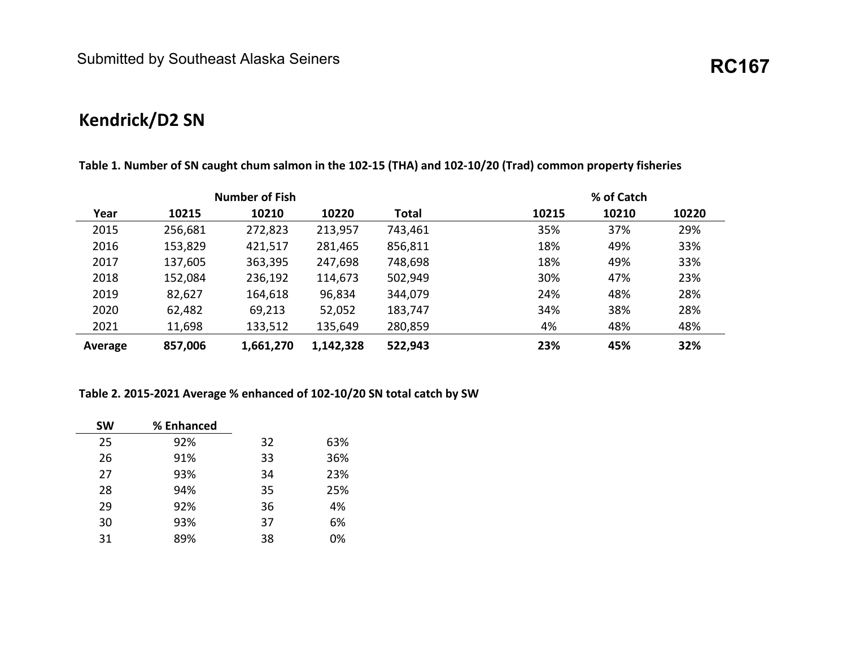# **Kendrick/D2 SN**

| <b>Number of Fish</b> |         |           |           |         |       | % of Catch |       |
|-----------------------|---------|-----------|-----------|---------|-------|------------|-------|
| Year                  | 10215   | 10210     | 10220     | Total   | 10215 | 10210      | 10220 |
| 2015                  | 256,681 | 272,823   | 213,957   | 743,461 | 35%   | 37%        | 29%   |
| 2016                  | 153,829 | 421,517   | 281,465   | 856,811 | 18%   | 49%        | 33%   |
| 2017                  | 137,605 | 363,395   | 247,698   | 748,698 | 18%   | 49%        | 33%   |
| 2018                  | 152,084 | 236,192   | 114,673   | 502,949 | 30%   | 47%        | 23%   |
| 2019                  | 82,627  | 164,618   | 96,834    | 344,079 | 24%   | 48%        | 28%   |
| 2020                  | 62,482  | 69,213    | 52,052    | 183,747 | 34%   | 38%        | 28%   |
| 2021                  | 11,698  | 133,512   | 135,649   | 280,859 | 4%    | 48%        | 48%   |
| Average               | 857,006 | 1,661,270 | 1,142,328 | 522,943 | 23%   | 45%        | 32%   |

**Table 1. Number of SN caught chum salmon in the 102-15 (THA) and 102-10/20 (Trad) common property fisheries** 

#### **Table 2. 2015-2021 Average % enhanced of 102-10/20 SN total catch by SW**

| <b>SW</b> | % Enhanced |    |     |
|-----------|------------|----|-----|
| 25        | 92%        | 32 | 63% |
| 26        | 91%        | 33 | 36% |
| 27        | 93%        | 34 | 23% |
| 28        | 94%        | 35 | 25% |
| 29        | 92%        | 36 | 4%  |
| 30        | 93%        | 37 | 6%  |
| 31        | 89%        | 38 | 0%  |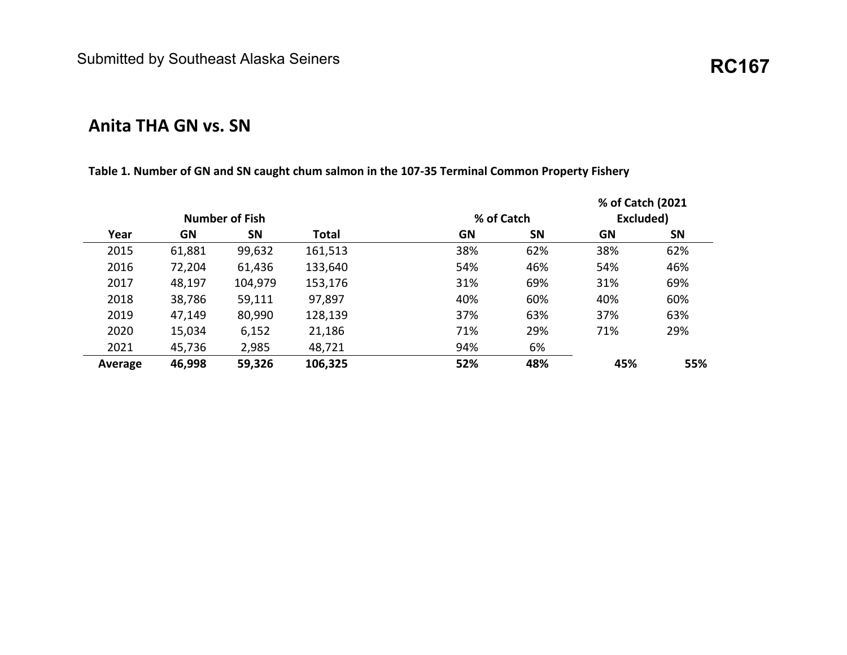# **Anita THA GN vs. SN**

#### **Table 1. Number of GN and SN caught chum salmon in the 107-35 Terminal Common Property Fishery**

|         |        |                       |              |            |           | % of Catch (2021 |           |
|---------|--------|-----------------------|--------------|------------|-----------|------------------|-----------|
|         |        | <b>Number of Fish</b> |              | % of Catch |           | Excluded)        |           |
| Year    | GN     | SN                    | <b>Total</b> | GN         | <b>SN</b> | <b>GN</b>        | <b>SN</b> |
| 2015    | 61,881 | 99,632                | 161,513      | 38%        | 62%       | 38%              | 62%       |
| 2016    | 72,204 | 61,436                | 133,640      | 54%        | 46%       | 54%              | 46%       |
| 2017    | 48,197 | 104,979               | 153,176      | 31%        | 69%       | 31%              | 69%       |
| 2018    | 38,786 | 59,111                | 97,897       | 40%        | 60%       | 40%              | 60%       |
| 2019    | 47,149 | 80,990                | 128,139      | 37%        | 63%       | 37%              | 63%       |
| 2020    | 15,034 | 6,152                 | 21,186       | 71%        | 29%       | 71%              | 29%       |
| 2021    | 45,736 | 2,985                 | 48,721       | 94%        | 6%        |                  |           |
| Average | 46,998 | 59,326                | 106,325      | 52%        | 48%       | 45%              | 55%       |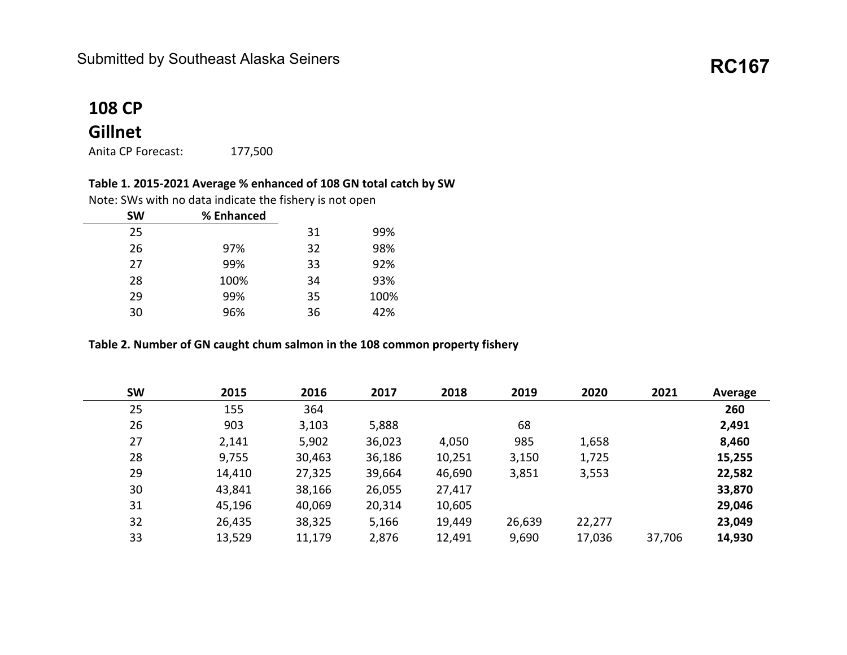## **108 CP**

### **Gillnet**

Anita CP Forecast: 177,500

### **Table 1. 2015-2021 Average % enhanced of 108 GN total catch by SW**

Note: SWs with no data indicate the fishery is not open

| <b>SW</b> | % Enhanced |      |
|-----------|------------|------|
| 25        | 31         | 99%  |
| 26        | 32<br>97%  | 98%  |
| 27        | 99%<br>33  | 92%  |
| 28        | 100%<br>34 | 93%  |
| 29        | 99%<br>35  | 100% |
| 30        | 36<br>96%  | 42%  |
|           |            |      |

#### **Table 2. Number of GN caught chum salmon in the 108 common property fishery**

| <b>SW</b> | 2015   | 2016   | 2017   | 2018   | 2019   | 2020   | 2021   | Average |
|-----------|--------|--------|--------|--------|--------|--------|--------|---------|
| 25        | 155    | 364    |        |        |        |        |        | 260     |
| 26        | 903    | 3,103  | 5,888  |        | 68     |        |        | 2,491   |
| 27        | 2,141  | 5,902  | 36,023 | 4,050  | 985    | 1,658  |        | 8,460   |
| 28        | 9,755  | 30,463 | 36,186 | 10,251 | 3,150  | 1,725  |        | 15,255  |
| 29        | 14,410 | 27,325 | 39,664 | 46,690 | 3,851  | 3,553  |        | 22,582  |
| 30        | 43,841 | 38,166 | 26,055 | 27,417 |        |        |        | 33,870  |
| 31        | 45,196 | 40,069 | 20,314 | 10,605 |        |        |        | 29,046  |
| 32        | 26,435 | 38,325 | 5,166  | 19,449 | 26,639 | 22,277 |        | 23,049  |
| 33        | 13,529 | 11,179 | 2,876  | 12,491 | 9,690  | 17,036 | 37,706 | 14,930  |